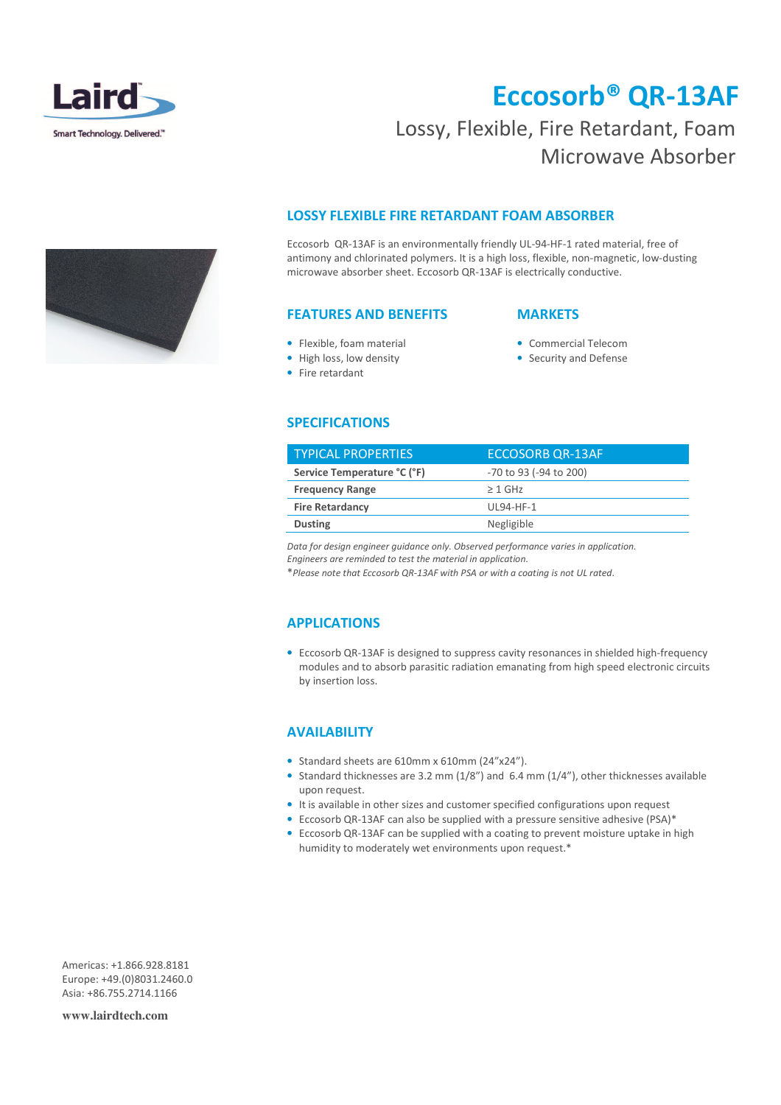

# Eccosorb® QR-13AF

### Lossy, Flexible, Fire Retardant, Foam Microwave Absorber

#### LOSSY FLEXIBLE FIRE RETARDANT FOAM ABSORBER

Eccosorb QR-13AF is an environmentally friendly UL-94-HF-1 rated material, free of antimony and chlorinated polymers. It is a high loss, flexible, non-magnetic, low-dusting microwave absorber sheet. Eccosorb QR-13AF is electrically conductive.

#### FEATURES AND BENEFITS

#### **MARKETS**

- Flexible, foam material • High loss, low density
- Commercial Telecom
- Security and Defense
- Fire retardant
- SPECIFICATIONS

| <b>TYPICAL PROPERTIES</b>   | <b>ECCOSORB OR-13AF</b> |
|-----------------------------|-------------------------|
| Service Temperature °C (°F) | -70 to 93 (-94 to 200)  |
| <b>Frequency Range</b>      | $\geq 1$ GHz            |
| <b>Fire Retardancy</b>      | UL94-HF-1               |
| <b>Dusting</b>              | Negligible              |

Data for design engineer guidance only. Observed performance varies in application.

Engineers are reminded to test the material in application.

\*Please note that Eccosorb QR-13AF with PSA or with a coating is not UL rated.

#### APPLICATIONS

• Eccosorb QR-13AF is designed to suppress cavity resonances in shielded high-frequency modules and to absorb parasitic radiation emanating from high speed electronic circuits by insertion loss.

### **AVAILABILITY**

- Standard sheets are 610mm x 610mm (24"x24").
- Standard thicknesses are 3.2 mm (1/8") and 6.4 mm (1/4"), other thicknesses available upon request.
- It is available in other sizes and customer specified configurations upon request
- Eccosorb QR-13AF can also be supplied with a pressure sensitive adhesive (PSA)\*
- Eccosorb QR-13AF can be supplied with a coating to prevent moisture uptake in high humidity to moderately wet environments upon request.\*

Americas: +1.866.928.8181 Europe: +49.(0)8031.2460.0 Asia: +86.755.2714.1166

**www.lairdtech.com**